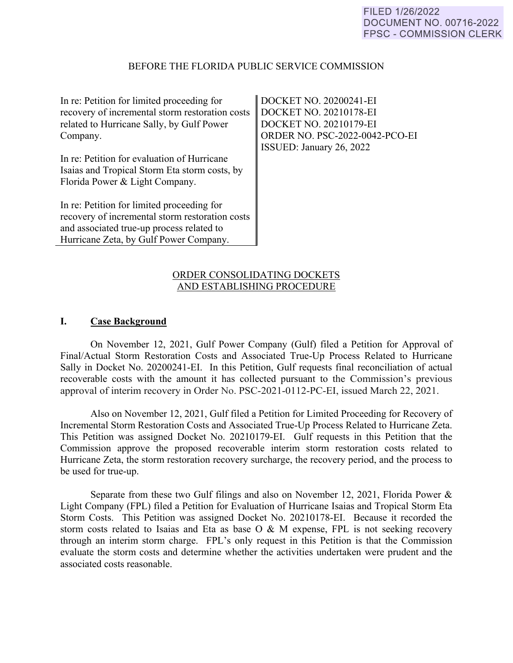### BEFORE THE FLORIDA PUBLIC SERVICE COMMISSION

| In re: Petition for limited proceeding for<br>recovery of incremental storm restoration costs<br>related to Hurricane Sally, by Gulf Power<br>Company.                               | DOCKET NO. 20200241-EI<br><b>DOCKET NO. 20210178-EI</b><br>DOCKET NO. 20210179-EI<br>ORDER NO. PSC-2022-0042-PCO-EI<br>ISSUED: January 26, 2022 |
|--------------------------------------------------------------------------------------------------------------------------------------------------------------------------------------|-------------------------------------------------------------------------------------------------------------------------------------------------|
| In re: Petition for evaluation of Hurricane<br>Isaias and Tropical Storm Eta storm costs, by<br>Florida Power & Light Company.                                                       |                                                                                                                                                 |
| In re: Petition for limited proceeding for<br>recovery of incremental storm restoration costs<br>and associated true-up process related to<br>Hurricane Zeta, by Gulf Power Company. |                                                                                                                                                 |

## ORDER CONSOLIDATING DOCKETS AND ESTABLISHING PROCEDURE

#### **I. Case Background**

 On November 12, 2021, Gulf Power Company (Gulf) filed a Petition for Approval of Final/Actual Storm Restoration Costs and Associated True-Up Process Related to Hurricane Sally in Docket No. 20200241-EI. In this Petition, Gulf requests final reconciliation of actual recoverable costs with the amount it has collected pursuant to the Commission's previous approval of interim recovery in Order No. PSC-2021-0112-PC-EI, issued March 22, 2021.

 Also on November 12, 2021, Gulf filed a Petition for Limited Proceeding for Recovery of Incremental Storm Restoration Costs and Associated True-Up Process Related to Hurricane Zeta. This Petition was assigned Docket No. 20210179-EI. Gulf requests in this Petition that the Commission approve the proposed recoverable interim storm restoration costs related to Hurricane Zeta, the storm restoration recovery surcharge, the recovery period, and the process to be used for true-up.

 Separate from these two Gulf filings and also on November 12, 2021, Florida Power & Light Company (FPL) filed a Petition for Evaluation of Hurricane Isaias and Tropical Storm Eta Storm Costs. This Petition was assigned Docket No. 20210178-EI. Because it recorded the storm costs related to Isaias and Eta as base O & M expense, FPL is not seeking recovery through an interim storm charge. FPL's only request in this Petition is that the Commission evaluate the storm costs and determine whether the activities undertaken were prudent and the associated costs reasonable.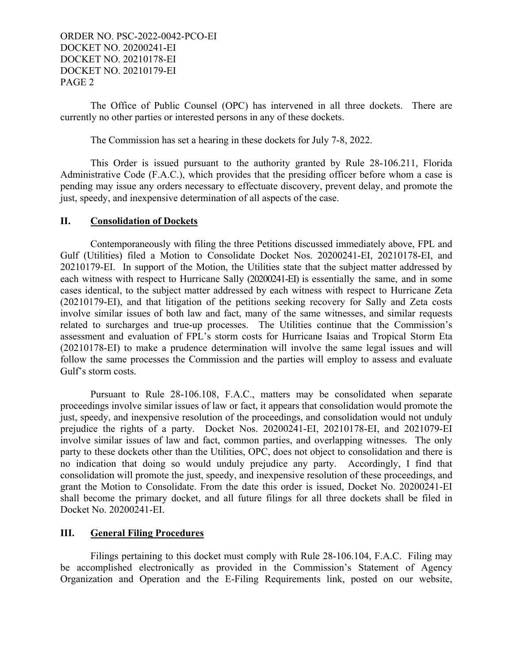The Office of Public Counsel (OPC) has intervened in all three dockets. There are currently no other parties or interested persons in any of these dockets.

The Commission has set a hearing in these dockets for July 7-8, 2022.

 This Order is issued pursuant to the authority granted by Rule 28-106.211, Florida Administrative Code (F.A.C.), which provides that the presiding officer before whom a case is pending may issue any orders necessary to effectuate discovery, prevent delay, and promote the just, speedy, and inexpensive determination of all aspects of the case.

## **II. Consolidation of Dockets**

 Contemporaneously with filing the three Petitions discussed immediately above, FPL and Gulf (Utilities) filed a Motion to Consolidate Docket Nos. 20200241-EI, 20210178-EI, and 20210179-EI. In support of the Motion, the Utilities state that the subject matter addressed by each witness with respect to Hurricane Sally (20200241-EI) is essentially the same, and in some cases identical, to the subject matter addressed by each witness with respect to Hurricane Zeta (20210179-EI), and that litigation of the petitions seeking recovery for Sally and Zeta costs involve similar issues of both law and fact, many of the same witnesses, and similar requests related to surcharges and true-up processes. The Utilities continue that the Commission's assessment and evaluation of FPL's storm costs for Hurricane Isaias and Tropical Storm Eta (20210178-EI) to make a prudence determination will involve the same legal issues and will follow the same processes the Commission and the parties will employ to assess and evaluate Gulf's storm costs.

 Pursuant to Rule 28-106.108, F.A.C., matters may be consolidated when separate proceedings involve similar issues of law or fact, it appears that consolidation would promote the just, speedy, and inexpensive resolution of the proceedings, and consolidation would not unduly prejudice the rights of a party. Docket Nos. 20200241-EI, 20210178-EI, and 2021079-EI involve similar issues of law and fact, common parties, and overlapping witnesses. The only party to these dockets other than the Utilities, OPC, does not object to consolidation and there is no indication that doing so would unduly prejudice any party. Accordingly, I find that consolidation will promote the just, speedy, and inexpensive resolution of these proceedings, and grant the Motion to Consolidate. From the date this order is issued, Docket No. 20200241-EI shall become the primary docket, and all future filings for all three dockets shall be filed in Docket No. 20200241-EI.

# **III. General Filing Procedures**

 Filings pertaining to this docket must comply with Rule 28-106.104, F.A.C. Filing may be accomplished electronically as provided in the Commission's Statement of Agency Organization and Operation and the E-Filing Requirements link, posted on our website,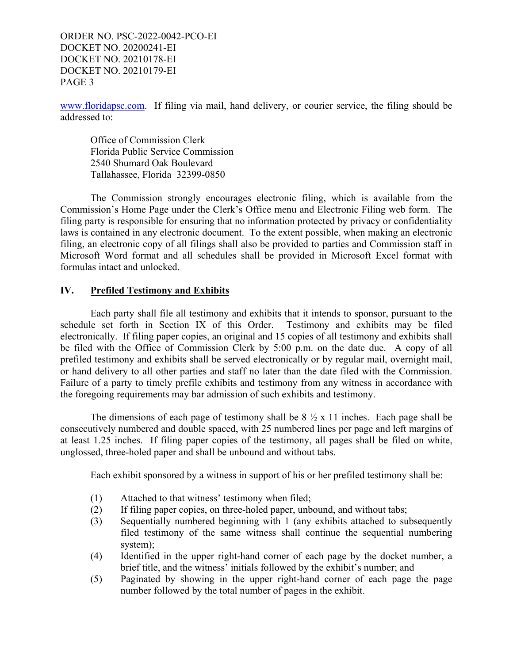www.floridapsc.com. If filing via mail, hand delivery, or courier service, the filing should be addressed to:

 Office of Commission Clerk Florida Public Service Commission 2540 Shumard Oak Boulevard Tallahassee, Florida 32399-0850

 The Commission strongly encourages electronic filing, which is available from the Commission's Home Page under the Clerk's Office menu and Electronic Filing web form. The filing party is responsible for ensuring that no information protected by privacy or confidentiality laws is contained in any electronic document. To the extent possible, when making an electronic filing, an electronic copy of all filings shall also be provided to parties and Commission staff in Microsoft Word format and all schedules shall be provided in Microsoft Excel format with formulas intact and unlocked.

### **IV. Prefiled Testimony and Exhibits**

 Each party shall file all testimony and exhibits that it intends to sponsor, pursuant to the schedule set forth in Section IX of this Order. Testimony and exhibits may be filed electronically. If filing paper copies, an original and 15 copies of all testimony and exhibits shall be filed with the Office of Commission Clerk by 5:00 p.m. on the date due. A copy of all prefiled testimony and exhibits shall be served electronically or by regular mail, overnight mail, or hand delivery to all other parties and staff no later than the date filed with the Commission. Failure of a party to timely prefile exhibits and testimony from any witness in accordance with the foregoing requirements may bar admission of such exhibits and testimony.

The dimensions of each page of testimony shall be  $8\frac{1}{2} \times 11$  inches. Each page shall be consecutively numbered and double spaced, with 25 numbered lines per page and left margins of at least 1.25 inches. If filing paper copies of the testimony, all pages shall be filed on white, unglossed, three-holed paper and shall be unbound and without tabs.

Each exhibit sponsored by a witness in support of his or her prefiled testimony shall be:

- (1) Attached to that witness' testimony when filed;
- (2) If filing paper copies, on three-holed paper, unbound, and without tabs;
- (3) Sequentially numbered beginning with 1 (any exhibits attached to subsequently filed testimony of the same witness shall continue the sequential numbering system);
- (4) Identified in the upper right-hand corner of each page by the docket number, a brief title, and the witness' initials followed by the exhibit's number; and
- (5) Paginated by showing in the upper right-hand corner of each page the page number followed by the total number of pages in the exhibit.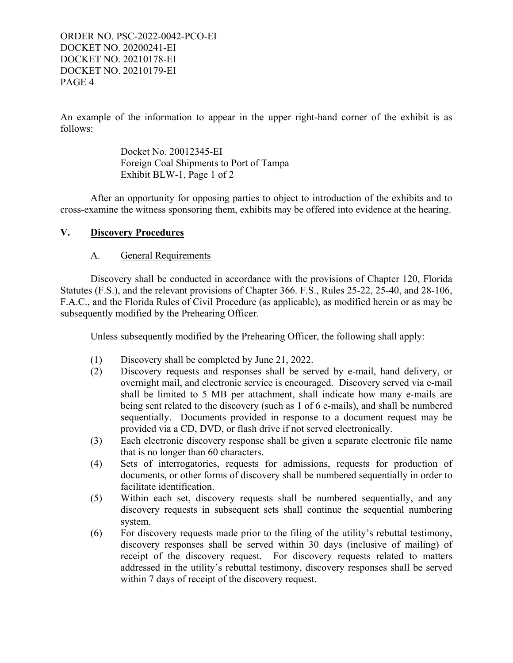An example of the information to appear in the upper right-hand corner of the exhibit is as follows:

> Docket No. 20012345-EI Foreign Coal Shipments to Port of Tampa Exhibit BLW-1, Page 1 of 2

 After an opportunity for opposing parties to object to introduction of the exhibits and to cross-examine the witness sponsoring them, exhibits may be offered into evidence at the hearing.

### **V. Discovery Procedures**

### A. General Requirements

 Discovery shall be conducted in accordance with the provisions of Chapter 120, Florida Statutes (F.S.), and the relevant provisions of Chapter 366. F.S., Rules 25-22, 25-40, and 28-106, F.A.C., and the Florida Rules of Civil Procedure (as applicable), as modified herein or as may be subsequently modified by the Prehearing Officer.

Unless subsequently modified by the Prehearing Officer, the following shall apply:

- (1) Discovery shall be completed by June 21, 2022.
- (2) Discovery requests and responses shall be served by e-mail, hand delivery, or overnight mail, and electronic service is encouraged. Discovery served via e-mail shall be limited to 5 MB per attachment, shall indicate how many e-mails are being sent related to the discovery (such as 1 of 6 e-mails), and shall be numbered sequentially. Documents provided in response to a document request may be provided via a CD, DVD, or flash drive if not served electronically.
- (3) Each electronic discovery response shall be given a separate electronic file name that is no longer than 60 characters.
- (4) Sets of interrogatories, requests for admissions, requests for production of documents, or other forms of discovery shall be numbered sequentially in order to facilitate identification.
- (5) Within each set, discovery requests shall be numbered sequentially, and any discovery requests in subsequent sets shall continue the sequential numbering system.
- (6) For discovery requests made prior to the filing of the utility's rebuttal testimony, discovery responses shall be served within 30 days (inclusive of mailing) of receipt of the discovery request. For discovery requests related to matters addressed in the utility's rebuttal testimony, discovery responses shall be served within 7 days of receipt of the discovery request.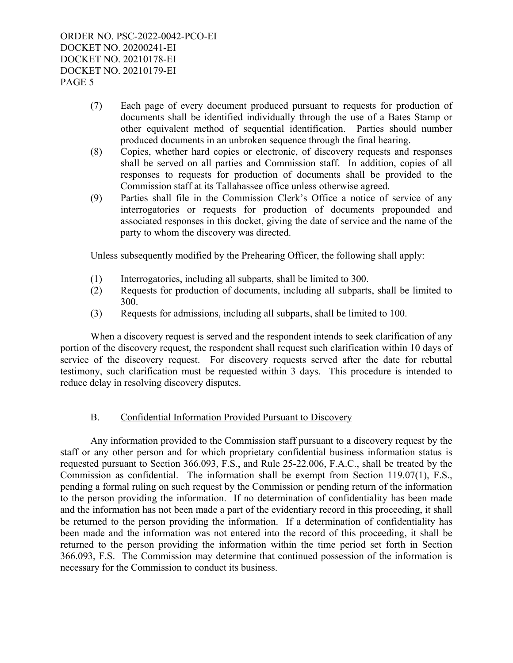- (7) Each page of every document produced pursuant to requests for production of documents shall be identified individually through the use of a Bates Stamp or other equivalent method of sequential identification. Parties should number produced documents in an unbroken sequence through the final hearing.
- (8) Copies, whether hard copies or electronic, of discovery requests and responses shall be served on all parties and Commission staff. In addition, copies of all responses to requests for production of documents shall be provided to the Commission staff at its Tallahassee office unless otherwise agreed.
- (9) Parties shall file in the Commission Clerk's Office a notice of service of any interrogatories or requests for production of documents propounded and associated responses in this docket, giving the date of service and the name of the party to whom the discovery was directed.

Unless subsequently modified by the Prehearing Officer, the following shall apply:

- (1) Interrogatories, including all subparts, shall be limited to 300.
- (2) Requests for production of documents, including all subparts, shall be limited to 300.
- (3) Requests for admissions, including all subparts, shall be limited to 100.

When a discovery request is served and the respondent intends to seek clarification of any portion of the discovery request, the respondent shall request such clarification within 10 days of service of the discovery request. For discovery requests served after the date for rebuttal testimony, such clarification must be requested within 3 days. This procedure is intended to reduce delay in resolving discovery disputes.

### B. Confidential Information Provided Pursuant to Discovery

 Any information provided to the Commission staff pursuant to a discovery request by the staff or any other person and for which proprietary confidential business information status is requested pursuant to Section 366.093, F.S., and Rule 25-22.006, F.A.C., shall be treated by the Commission as confidential. The information shall be exempt from Section 119.07(1), F.S., pending a formal ruling on such request by the Commission or pending return of the information to the person providing the information. If no determination of confidentiality has been made and the information has not been made a part of the evidentiary record in this proceeding, it shall be returned to the person providing the information. If a determination of confidentiality has been made and the information was not entered into the record of this proceeding, it shall be returned to the person providing the information within the time period set forth in Section 366.093, F.S. The Commission may determine that continued possession of the information is necessary for the Commission to conduct its business.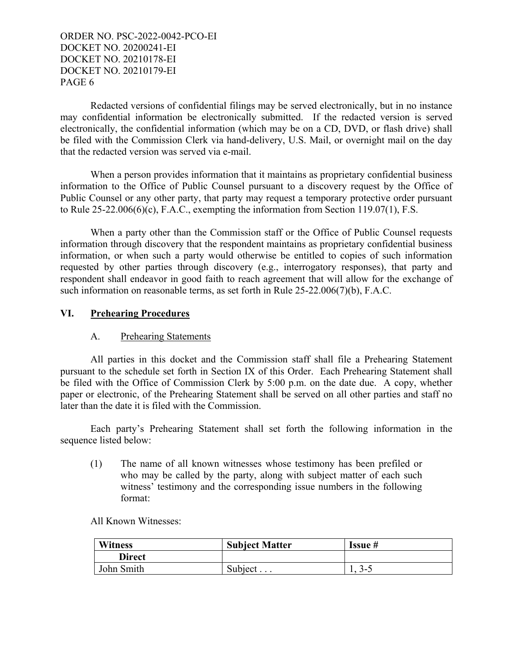Redacted versions of confidential filings may be served electronically, but in no instance may confidential information be electronically submitted. If the redacted version is served electronically, the confidential information (which may be on a CD, DVD, or flash drive) shall be filed with the Commission Clerk via hand-delivery, U.S. Mail, or overnight mail on the day that the redacted version was served via e-mail.

 When a person provides information that it maintains as proprietary confidential business information to the Office of Public Counsel pursuant to a discovery request by the Office of Public Counsel or any other party, that party may request a temporary protective order pursuant to Rule 25-22.006(6)(c), F.A.C., exempting the information from Section 119.07(1), F.S.

 When a party other than the Commission staff or the Office of Public Counsel requests information through discovery that the respondent maintains as proprietary confidential business information, or when such a party would otherwise be entitled to copies of such information requested by other parties through discovery (e.g., interrogatory responses), that party and respondent shall endeavor in good faith to reach agreement that will allow for the exchange of such information on reasonable terms, as set forth in Rule 25-22.006(7)(b), F.A.C.

### **VI. Prehearing Procedures**

## A. Prehearing Statements

 All parties in this docket and the Commission staff shall file a Prehearing Statement pursuant to the schedule set forth in Section IX of this Order. Each Prehearing Statement shall be filed with the Office of Commission Clerk by 5:00 p.m. on the date due. A copy, whether paper or electronic, of the Prehearing Statement shall be served on all other parties and staff no later than the date it is filed with the Commission.

 Each party's Prehearing Statement shall set forth the following information in the sequence listed below:

(1) The name of all known witnesses whose testimony has been prefiled or who may be called by the party, along with subject matter of each such witness' testimony and the corresponding issue numbers in the following format:

All Known Witnesses:

| <b>Witness</b> | <b>Subject Matter</b> | <b>Issue</b> # |
|----------------|-----------------------|----------------|
| <b>Direct</b>  |                       |                |
| John Smith     | Subject $\ldots$      | $1, 3-5$       |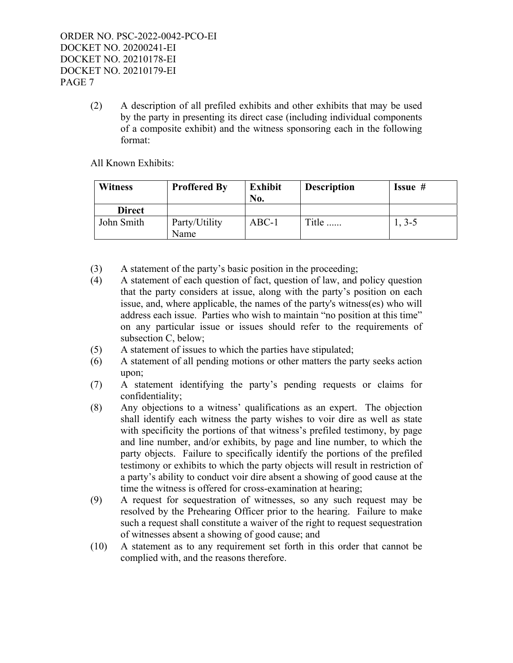(2) A description of all prefiled exhibits and other exhibits that may be used by the party in presenting its direct case (including individual components of a composite exhibit) and the witness sponsoring each in the following format:

All Known Exhibits:

| <b>Witness</b> | <b>Proffered By</b>   | <b>Exhibit</b><br>No. | <b>Description</b> | <b>Issue</b> $#$ |
|----------------|-----------------------|-----------------------|--------------------|------------------|
| <b>Direct</b>  |                       |                       |                    |                  |
| John Smith     | Party/Utility<br>Name | $ABC-1$               | Title              | $1, 3-5$         |

- (3) A statement of the party's basic position in the proceeding;
- (4) A statement of each question of fact, question of law, and policy question that the party considers at issue, along with the party's position on each issue, and, where applicable, the names of the party's witness(es) who will address each issue. Parties who wish to maintain "no position at this time" on any particular issue or issues should refer to the requirements of subsection C, below;
- (5) A statement of issues to which the parties have stipulated;
- (6) A statement of all pending motions or other matters the party seeks action upon;
- (7) A statement identifying the party's pending requests or claims for confidentiality;
- (8) Any objections to a witness' qualifications as an expert. The objection shall identify each witness the party wishes to voir dire as well as state with specificity the portions of that witness's prefiled testimony, by page and line number, and/or exhibits, by page and line number, to which the party objects. Failure to specifically identify the portions of the prefiled testimony or exhibits to which the party objects will result in restriction of a party's ability to conduct voir dire absent a showing of good cause at the time the witness is offered for cross-examination at hearing;
- (9) A request for sequestration of witnesses, so any such request may be resolved by the Prehearing Officer prior to the hearing. Failure to make such a request shall constitute a waiver of the right to request sequestration of witnesses absent a showing of good cause; and
- (10) A statement as to any requirement set forth in this order that cannot be complied with, and the reasons therefore.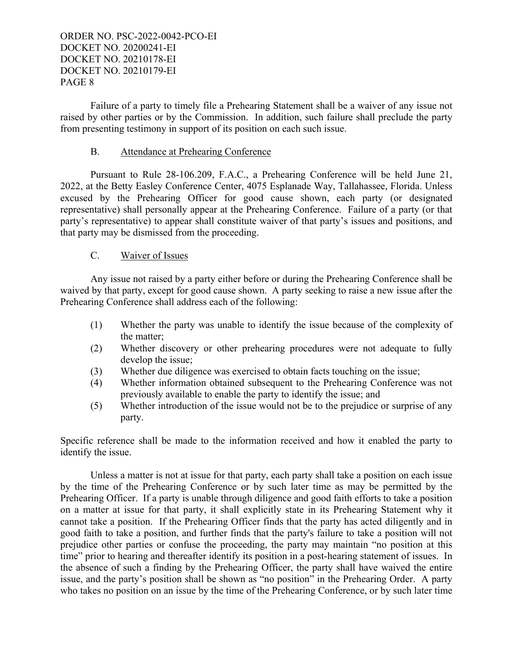Failure of a party to timely file a Prehearing Statement shall be a waiver of any issue not raised by other parties or by the Commission. In addition, such failure shall preclude the party from presenting testimony in support of its position on each such issue.

## B. Attendance at Prehearing Conference

 Pursuant to Rule 28-106.209, F.A.C., a Prehearing Conference will be held June 21, 2022, at the Betty Easley Conference Center, 4075 Esplanade Way, Tallahassee, Florida. Unless excused by the Prehearing Officer for good cause shown, each party (or designated representative) shall personally appear at the Prehearing Conference. Failure of a party (or that party's representative) to appear shall constitute waiver of that party's issues and positions, and that party may be dismissed from the proceeding.

# C. Waiver of Issues

 Any issue not raised by a party either before or during the Prehearing Conference shall be waived by that party, except for good cause shown. A party seeking to raise a new issue after the Prehearing Conference shall address each of the following:

- (1) Whether the party was unable to identify the issue because of the complexity of the matter;
- (2) Whether discovery or other prehearing procedures were not adequate to fully develop the issue;
- (3) Whether due diligence was exercised to obtain facts touching on the issue;
- (4) Whether information obtained subsequent to the Prehearing Conference was not previously available to enable the party to identify the issue; and
- (5) Whether introduction of the issue would not be to the prejudice or surprise of any party.

Specific reference shall be made to the information received and how it enabled the party to identify the issue.

 Unless a matter is not at issue for that party, each party shall take a position on each issue by the time of the Prehearing Conference or by such later time as may be permitted by the Prehearing Officer. If a party is unable through diligence and good faith efforts to take a position on a matter at issue for that party, it shall explicitly state in its Prehearing Statement why it cannot take a position. If the Prehearing Officer finds that the party has acted diligently and in good faith to take a position, and further finds that the party's failure to take a position will not prejudice other parties or confuse the proceeding, the party may maintain "no position at this time" prior to hearing and thereafter identify its position in a post-hearing statement of issues. In the absence of such a finding by the Prehearing Officer, the party shall have waived the entire issue, and the party's position shall be shown as "no position" in the Prehearing Order. A party who takes no position on an issue by the time of the Prehearing Conference, or by such later time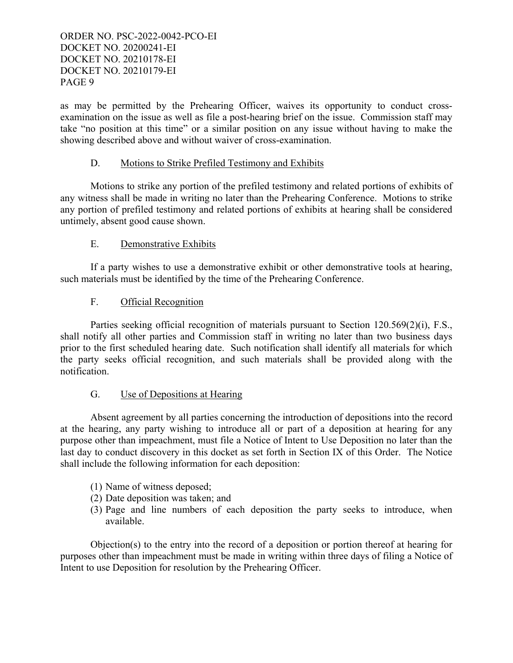as may be permitted by the Prehearing Officer, waives its opportunity to conduct crossexamination on the issue as well as file a post-hearing brief on the issue. Commission staff may take "no position at this time" or a similar position on any issue without having to make the showing described above and without waiver of cross-examination.

## D. Motions to Strike Prefiled Testimony and Exhibits

 Motions to strike any portion of the prefiled testimony and related portions of exhibits of any witness shall be made in writing no later than the Prehearing Conference. Motions to strike any portion of prefiled testimony and related portions of exhibits at hearing shall be considered untimely, absent good cause shown.

## E. Demonstrative Exhibits

 If a party wishes to use a demonstrative exhibit or other demonstrative tools at hearing, such materials must be identified by the time of the Prehearing Conference.

## F. Official Recognition

 Parties seeking official recognition of materials pursuant to Section 120.569(2)(i), F.S., shall notify all other parties and Commission staff in writing no later than two business days prior to the first scheduled hearing date. Such notification shall identify all materials for which the party seeks official recognition, and such materials shall be provided along with the notification.

### G. Use of Depositions at Hearing

 Absent agreement by all parties concerning the introduction of depositions into the record at the hearing, any party wishing to introduce all or part of a deposition at hearing for any purpose other than impeachment, must file a Notice of Intent to Use Deposition no later than the last day to conduct discovery in this docket as set forth in Section IX of this Order. The Notice shall include the following information for each deposition:

- (1) Name of witness deposed;
- (2) Date deposition was taken; and
- (3) Page and line numbers of each deposition the party seeks to introduce, when available.

Objection(s) to the entry into the record of a deposition or portion thereof at hearing for purposes other than impeachment must be made in writing within three days of filing a Notice of Intent to use Deposition for resolution by the Prehearing Officer.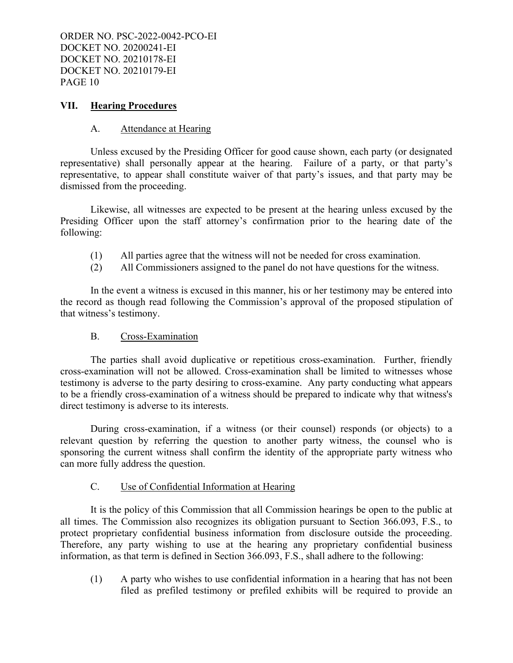### **VII. Hearing Procedures**

## A. Attendance at Hearing

 Unless excused by the Presiding Officer for good cause shown, each party (or designated representative) shall personally appear at the hearing. Failure of a party, or that party's representative, to appear shall constitute waiver of that party's issues, and that party may be dismissed from the proceeding.

 Likewise, all witnesses are expected to be present at the hearing unless excused by the Presiding Officer upon the staff attorney's confirmation prior to the hearing date of the following:

- (1) All parties agree that the witness will not be needed for cross examination.
- (2) All Commissioners assigned to the panel do not have questions for the witness.

 In the event a witness is excused in this manner, his or her testimony may be entered into the record as though read following the Commission's approval of the proposed stipulation of that witness's testimony.

## B. Cross-Examination

 The parties shall avoid duplicative or repetitious cross-examination. Further, friendly cross-examination will not be allowed. Cross-examination shall be limited to witnesses whose testimony is adverse to the party desiring to cross-examine. Any party conducting what appears to be a friendly cross-examination of a witness should be prepared to indicate why that witness's direct testimony is adverse to its interests.

 During cross-examination, if a witness (or their counsel) responds (or objects) to a relevant question by referring the question to another party witness, the counsel who is sponsoring the current witness shall confirm the identity of the appropriate party witness who can more fully address the question.

## C. Use of Confidential Information at Hearing

 It is the policy of this Commission that all Commission hearings be open to the public at all times. The Commission also recognizes its obligation pursuant to Section 366.093, F.S., to protect proprietary confidential business information from disclosure outside the proceeding. Therefore, any party wishing to use at the hearing any proprietary confidential business information, as that term is defined in Section 366.093, F.S., shall adhere to the following:

(1) A party who wishes to use confidential information in a hearing that has not been filed as prefiled testimony or prefiled exhibits will be required to provide an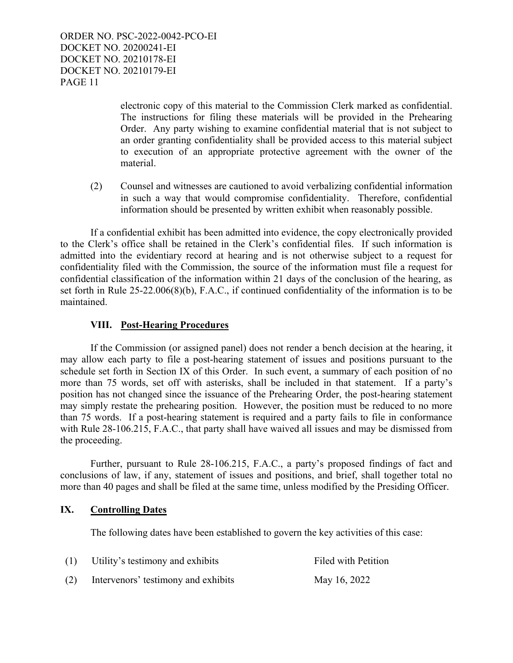> electronic copy of this material to the Commission Clerk marked as confidential. The instructions for filing these materials will be provided in the Prehearing Order. Any party wishing to examine confidential material that is not subject to an order granting confidentiality shall be provided access to this material subject to execution of an appropriate protective agreement with the owner of the material.

(2) Counsel and witnesses are cautioned to avoid verbalizing confidential information in such a way that would compromise confidentiality. Therefore, confidential information should be presented by written exhibit when reasonably possible.

 If a confidential exhibit has been admitted into evidence, the copy electronically provided to the Clerk's office shall be retained in the Clerk's confidential files. If such information is admitted into the evidentiary record at hearing and is not otherwise subject to a request for confidentiality filed with the Commission, the source of the information must file a request for confidential classification of the information within 21 days of the conclusion of the hearing, as set forth in Rule 25-22.006(8)(b), F.A.C., if continued confidentiality of the information is to be maintained.

### **VIII. Post-Hearing Procedures**

 If the Commission (or assigned panel) does not render a bench decision at the hearing, it may allow each party to file a post-hearing statement of issues and positions pursuant to the schedule set forth in Section IX of this Order. In such event, a summary of each position of no more than 75 words, set off with asterisks, shall be included in that statement. If a party's position has not changed since the issuance of the Prehearing Order, the post-hearing statement may simply restate the prehearing position. However, the position must be reduced to no more than 75 words. If a post-hearing statement is required and a party fails to file in conformance with Rule 28-106.215, F.A.C., that party shall have waived all issues and may be dismissed from the proceeding.

 Further, pursuant to Rule 28-106.215, F.A.C., a party's proposed findings of fact and conclusions of law, if any, statement of issues and positions, and brief, shall together total no more than 40 pages and shall be filed at the same time, unless modified by the Presiding Officer.

### **IX. Controlling Dates**

The following dates have been established to govern the key activities of this case:

| (1) | Utility's testimony and exhibits    | Filed with Petition |
|-----|-------------------------------------|---------------------|
| (2) | Intervenors' testimony and exhibits | May 16, 2022        |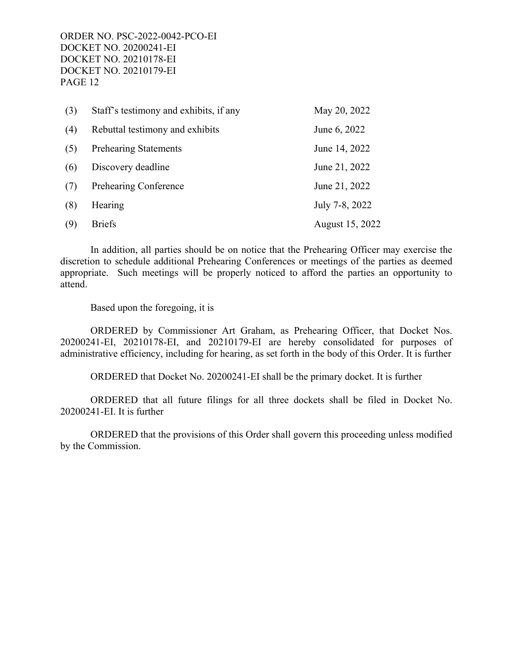| (3) | Staff's testimony and exhibits, if any | May 20, 2022    |
|-----|----------------------------------------|-----------------|
| (4) | Rebuttal testimony and exhibits        | June 6, 2022    |
| (5) | <b>Prehearing Statements</b>           | June 14, 2022   |
| (6) | Discovery deadline                     | June 21, 2022   |
| (7) | <b>Prehearing Conference</b>           | June 21, 2022   |
| (8) | Hearing                                | July 7-8, 2022  |
| (9) | <b>Briefs</b>                          | August 15, 2022 |

 In addition, all parties should be on notice that the Prehearing Officer may exercise the discretion to schedule additional Prehearing Conferences or meetings of the parties as deemed appropriate. Such meetings will be properly noticed to afford the parties an opportunity to attend.

Based upon the foregoing, it is

 ORDERED by Commissioner Art Graham, as Prehearing Officer, that Docket Nos. 20200241-EI, 20210178-EI, and 20210179-EI are hereby consolidated for purposes of administrative efficiency, including for hearing, as set forth in the body of this Order. It is further

ORDERED that Docket No. 20200241-EI shall be the primary docket. It is further

 ORDERED that all future filings for all three dockets shall be filed in Docket No. 20200241-EI. It is further

 ORDERED that the provisions of this Order shall govern this proceeding unless modified by the Commission.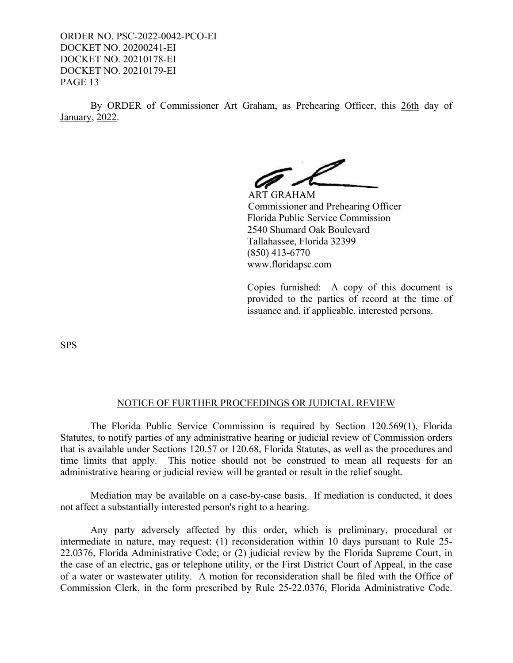By ORDER of Commissioner Art Graham, as Prehearing Officer, this 26th day of January, 2022.

P

ART GRAHAM Commissioner and Prehearing Officer Florida Public Service Commission 2540 Shumard Oak Boulevard Tallahassee, Florida 32399 (850) 413-6770 www.floridapsc.com

Copies furnished: A copy of this document is provided to the parties of record at the time of issuance and, if applicable, interested persons.

SPS

#### NOTICE OF FURTHER PROCEEDINGS OR JUDICIAL REVIEW

 The Florida Public Service Commission is required by Section 120.569(1), Florida Statutes, to notify parties of any administrative hearing or judicial review of Commission orders that is available under Sections 120.57 or 120.68, Florida Statutes, as well as the procedures and time limits that apply. This notice should not be construed to mean all requests for an administrative hearing or judicial review will be granted or result in the relief sought.

 Mediation may be available on a case-by-case basis. If mediation is conducted, it does not affect a substantially interested person's right to a hearing.

 Any party adversely affected by this order, which is preliminary, procedural or intermediate in nature, may request: (1) reconsideration within 10 days pursuant to Rule 25- 22.0376, Florida Administrative Code; or (2) judicial review by the Florida Supreme Court, in the case of an electric, gas or telephone utility, or the First District Court of Appeal, in the case of a water or wastewater utility. A motion for reconsideration shall be filed with the Office of Commission Clerk, in the form prescribed by Rule 25-22.0376, Florida Administrative Code.